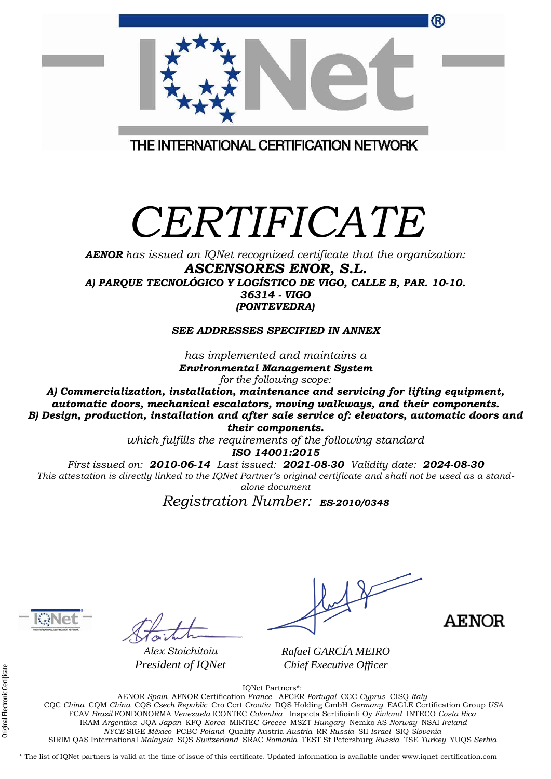| ®                                       |
|-----------------------------------------|
| THE INTERNATIONAL CERTIFICATION NETWORK |

## *CERTIFICATE*

*AENOR has issued an IQNet recognized certificate that the organization: ASCENSORES ENOR, S.L. A) PARQUE TECNOLÓGICO Y LOGÍSTICO DE VIGO, CALLE B, PAR. 10-10. 36314 - VIGO (PONTEVEDRA)*

*SEE ADDRESSES SPECIFIED IN ANNEX*

*has implemented and maintains a Environmental Management System for the following scope:* 

*A) Commercialization, installation, maintenance and servicing for lifting equipment, automatic doors, mechanical escalators, moving walkways, and their components. B) Design, production, installation and after sale service of: elevators, automatic doors and their components.*

> *which fulfills the requirements of the following standard ISO 14001:2015*

*First issued on: 2010-06-14 Last issued: 2021-08-30 Validity date: 2024-08-30 This attestation is directly linked to the IQNet Partner's original certificate and shall not be used as a standalone document*

*Registration Number: ES-2010/0348* **a**



*Alex Stoichitoiu President of IQNet*

**AENOR** 

*Rafael GARCÍA MEIRO Chief Executive Officer*

IQNet Partners\*:

AENOR *Spain* AFNOR Certification *France* APCER *Portugal* CCC *Cyprus* CISQ *Italy* CQC *China* CQM *China* CQS *Czech Republic* Cro Cert *Croatia* DQS Holding GmbH *Germany* EAGLE Certification Group *USA* FCAV *Brazil* FONDONORMA *Venezuela* ICONTEC *Colombia* Inspecta Sertifiointi Oy *Finland* INTECO *Costa Rica* IRAM *Argentina* JQA *Japan* KFQ *Korea* MIRTEC *Greece* MSZT *Hungary* Nemko AS *Norway* NSAI *Ireland NYCE-*SIGE *México* PCBC *Poland* Quality Austria *Austria* RR *Russia* SII *Israel* SIQ *Slovenia*  SIRIM QAS International *Malaysia* SQS *Switzerland* SRAC *Romania* TEST St Petersburg *Russia* TSE *Turkey* YUQS *Serbia*

\* The list of IQNet partners is valid at the time of issue of this certificate. Updated information is available under www.iqnet-certification.com